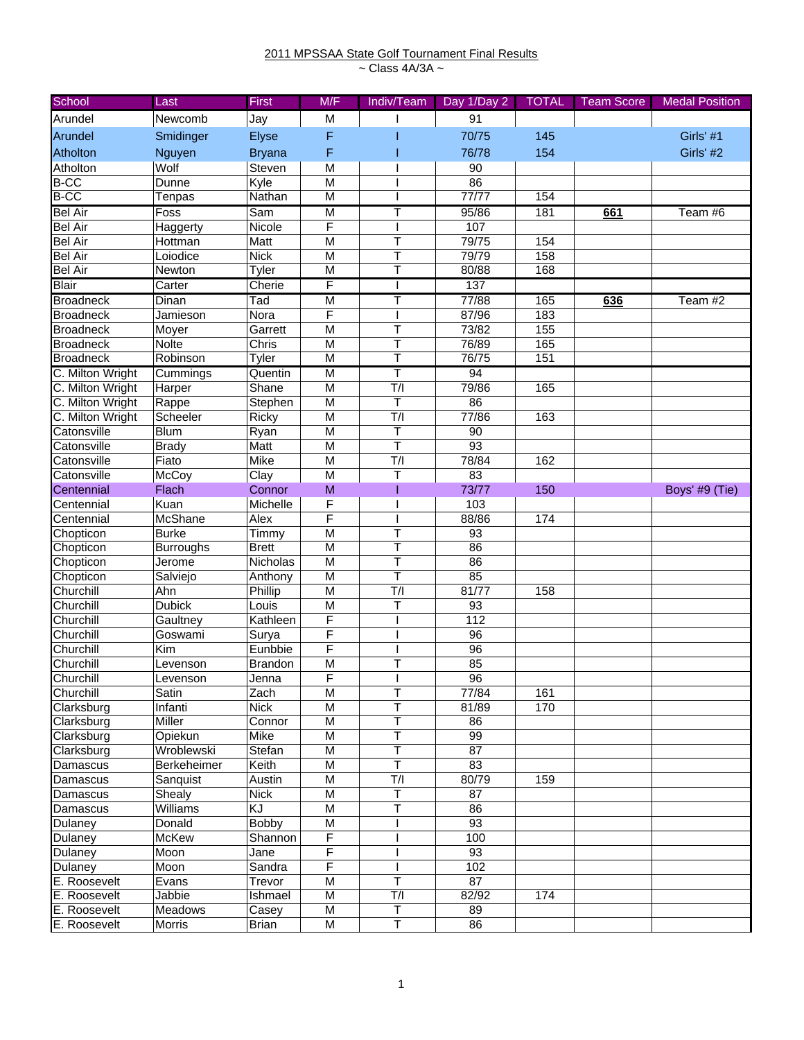## 2011 MPSSAA State Golf Tournament Final Results ~ Class 4A/3A ~

| School           | Last             | First          | M/F                     | Indiv/Team              | Day 1/Day 2     | <b>TOTAL</b> | <b>Team Score</b> | <b>Medal Position</b> |
|------------------|------------------|----------------|-------------------------|-------------------------|-----------------|--------------|-------------------|-----------------------|
| Arundel          | Newcomb          | Jay            | M                       |                         | 91              |              |                   |                       |
| Arundel          | Smidinger        | Elyse          | F                       |                         | 70/75           | 145          |                   | Girls' #1             |
| Atholton         | Nguyen           | <b>Bryana</b>  | F                       |                         | 76/78           | 154          |                   | Girls' #2             |
| Atholton         | Wolf             | Steven         | M                       |                         | 90              |              |                   |                       |
| <b>B-CC</b>      | Dunne            | Kyle           | M                       |                         | 86              |              |                   |                       |
| <b>B-CC</b>      | Tenpas           | Nathan         | M                       |                         | 77/77           | 154          |                   |                       |
| <b>Bel Air</b>   | Foss             | Sam            | $\overline{M}$          | т                       | 95/86           | 181          | 661               | Team #6               |
| <b>Bel Air</b>   | Haggerty         | Nicole         | F                       |                         | 107             |              |                   |                       |
| <b>Bel Air</b>   | Hottman          | Matt           | M                       | T                       | 79/75           | 154          |                   |                       |
| <b>Bel Air</b>   | Loiodice         | <b>Nick</b>    | M                       | т                       | 79/79           | 158          |                   |                       |
| <b>Bel Air</b>   | Newton           | Tyler          | M                       |                         | 80/88           | 168          |                   |                       |
| <b>Blair</b>     | Carter           | Cherie         | F                       |                         | 137             |              |                   |                       |
| <b>Broadneck</b> | <b>Dinan</b>     | Tad            | M                       |                         | 77/88           | 165          | 636               | Team #2               |
| <b>Broadneck</b> | Jamieson         | Nora           | F                       |                         | 87/96           | 183          |                   |                       |
| <b>Broadneck</b> | Moyer            | Garrett        | $\overline{\mathsf{M}}$ | T                       | 73/82           | 155          |                   |                       |
| <b>Broadneck</b> | Nolte            | Chris          | M                       | T                       | 76/89           | 165          |                   |                       |
| <b>Broadneck</b> | Robinson         | Tyler          | $\overline{M}$          | т                       | 76/75           | 151          |                   |                       |
| C. Milton Wright | Cummings         | Quentin        | M                       | т                       | 94              |              |                   |                       |
| C. Milton Wright | Harper           | Shane          | M                       | T/I                     | 79/86           | 165          |                   |                       |
| C. Milton Wright | Rappe            | Stephen        | M                       | Τ                       | $\overline{86}$ |              |                   |                       |
| C. Milton Wright | Scheeler         | Ricky          | M                       | T/I                     | 77/86           | 163          |                   |                       |
| Catonsville      | <b>Blum</b>      | Ryan           | $\overline{M}$          | $\overline{\mathsf{T}}$ | 90              |              |                   |                       |
| Catonsville      | <b>Brady</b>     | Matt           | M                       | $\mathsf T$             | 93              |              |                   |                       |
| Catonsville      | Fiato            | Mike           | M                       | T/                      | 78/84           | 162          |                   |                       |
| Catonsville      | McCoy            | Clay           | M                       | T                       | $\overline{83}$ |              |                   |                       |
| Centennial       | Flach            | Connor         | M                       |                         | 73/77           | 150          |                   | Boys' #9 (Tie)        |
| Centennial       | Kuan             | Michelle       | F                       |                         | 103             |              |                   |                       |
| Centennial       | McShane          | Alex           | F                       |                         | 88/86           | 174          |                   |                       |
| Chopticon        | <b>Burke</b>     | Timmy          | $\overline{M}$          | T                       | 93              |              |                   |                       |
| Chopticon        | <b>Burroughs</b> | <b>Brett</b>   | M                       | Т                       | 86              |              |                   |                       |
| Chopticon        | Jerome           | Nicholas       | M                       | т                       | 86              |              |                   |                       |
| Chopticon        | Salviejo         | Anthony        | M                       | T                       | 85              |              |                   |                       |
| Churchill        | Ahn              | Phillip        | $\overline{M}$          | T/I                     | 81/77           | 158          |                   |                       |
| Churchill        | <b>Dubick</b>    | Louis          | M                       | Τ                       | 93              |              |                   |                       |
| Churchill        | Gaultney         | Kathleen       | F                       |                         | 112             |              |                   |                       |
| Churchill        | Goswami          | Surya          | F                       |                         | 96              |              |                   |                       |
| Churchill        | Kim              | Eunbbie        | F                       |                         | 96              |              |                   |                       |
| Churchill        | Levenson         | <b>Brandon</b> | M                       |                         | 85              |              |                   |                       |
| Churchill        | Levenson         | Jenna          | F                       |                         | $\overline{96}$ |              |                   |                       |
| Churchill        | Satin            | Zach           | M                       | Τ                       | 77/84           | 161          |                   |                       |
| Clarksburg       | Infanti          | <b>Nick</b>    | M                       | T                       | 81/89           | 170          |                   |                       |
| Clarksburg       | Miller           | Connor         | M                       | T                       | 86              |              |                   |                       |
| Clarksburg       | Opiekun          | Mike           | M                       | Τ                       | 99              |              |                   |                       |
| Clarksburg       | Wroblewski       | Stefan         | M                       | Т                       | 87              |              |                   |                       |
| Damascus         | Berkeheimer      | Keith          | M                       | Τ                       | 83              |              |                   |                       |
| Damascus         | Sanquist         | Austin         | M                       | T/                      | 80/79           | 159          |                   |                       |
| Damascus         | Shealy           | <b>Nick</b>    | M                       | $\top$                  | 87              |              |                   |                       |
| Damascus         | Williams         | KJ             | M                       | Τ                       | 86              |              |                   |                       |
| Dulaney          | Donald           | Bobby          | M                       |                         | 93              |              |                   |                       |
| Dulaney          | McKew            | Shannon        | F                       |                         | 100             |              |                   |                       |
| Dulaney          | Moon             | Jane           | F                       |                         | 93              |              |                   |                       |
| Dulaney          | Moon             | Sandra         | F                       |                         | 102             |              |                   |                       |
| E. Roosevelt     | Evans            | Trevor         | M                       | T                       | 87              |              |                   |                       |
| E. Roosevelt     | Jabbie           | Ishmael        | M                       | T/I                     | 82/92           | 174          |                   |                       |
| E. Roosevelt     | Meadows          | Casey          | M                       | Τ                       | 89              |              |                   |                       |
| E. Roosevelt     | Morris           | <b>Brian</b>   | M                       | T                       | 86              |              |                   |                       |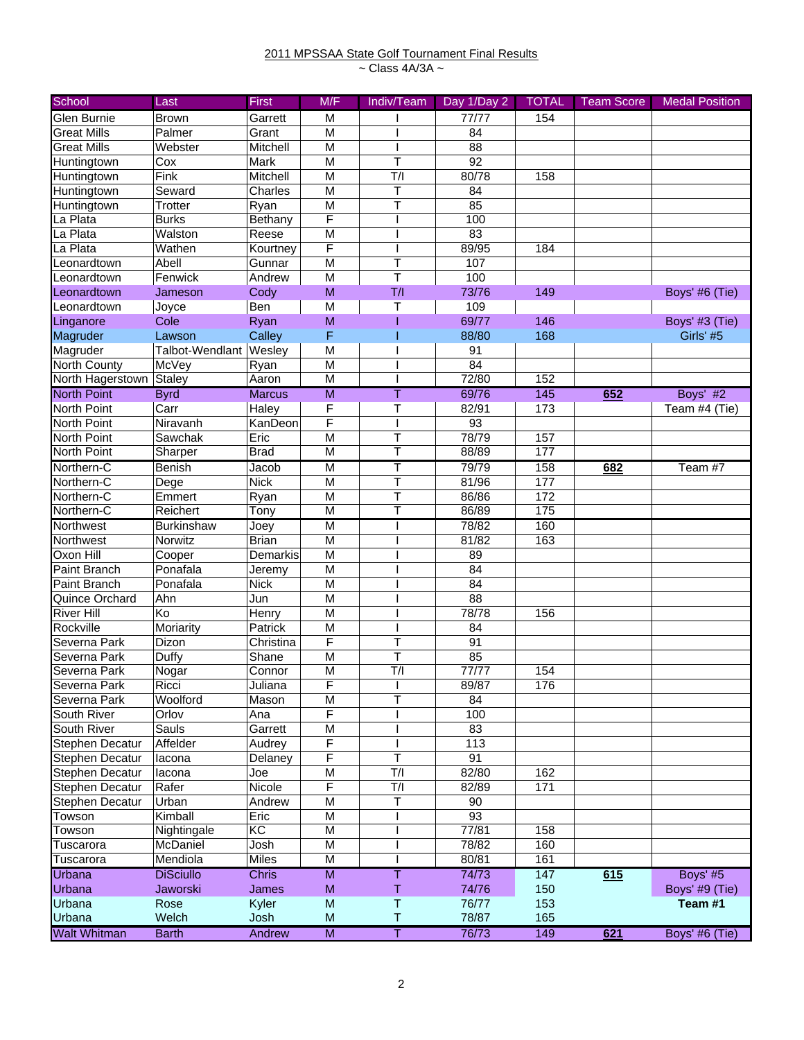## 2011 MPSSAA State Golf Tournament Final Results ~ Class 4A/3A ~

| School                 | Last                   | <b>First</b>  | M/F                     | Indiv/Team              | Day 1/Day 2     | <b>TOTAL</b> | <b>Team Score</b> | <b>Medal Position</b> |
|------------------------|------------------------|---------------|-------------------------|-------------------------|-----------------|--------------|-------------------|-----------------------|
| Glen Burnie            | <b>Brown</b>           | Garrett       | M                       |                         | 77/77           | 154          |                   |                       |
| <b>Great Mills</b>     | Palmer                 | Grant         | M                       |                         | 84              |              |                   |                       |
| <b>Great Mills</b>     | Webster                | Mitchell      | M                       |                         | 88              |              |                   |                       |
| Huntingtown            | Cox                    | Mark          | M                       | Т                       | $\overline{92}$ |              |                   |                       |
| Huntingtown            | Fink                   | Mitchell      | M                       | T/                      | 80/78           | 158          |                   |                       |
| Huntingtown            | Seward                 | Charles       | M                       | T                       | 84              |              |                   |                       |
| Huntingtown            | <b>Trotter</b>         | Ryan          | M                       | T                       | 85              |              |                   |                       |
| La Plata               | <b>Burks</b>           | Bethany       | F                       |                         | 100             |              |                   |                       |
| La Plata               | Walston                | Reese         | $\overline{M}$          |                         | 83              |              |                   |                       |
| La Plata               | Wathen                 | Kourtney      | $\overline{F}$          |                         | 89/95           | 184          |                   |                       |
| Leonardtown            | Abell                  | Gunnar        | M                       | Т                       | 107             |              |                   |                       |
| Leonardtown            | Fenwick                | Andrew        | M                       | $\mathsf T$             | 100             |              |                   |                       |
| Leonardtown            | Jameson                | Cody          | M                       | T/I                     | 73/76           | 149          |                   | Boys' #6 (Tie)        |
| Leonardtown            | Joyce                  | Ben           | M                       | T                       | 109             |              |                   |                       |
| Linganore              | Cole                   | Ryan          | M                       |                         | 69/77           | 146          |                   | Boys' #3 (Tie)        |
| Magruder               | Lawson                 | Calley        | F                       |                         | 88/80           | 168          |                   | Girls' #5             |
| Magruder               | Talbot-Wendlant Wesley |               | M                       |                         | 91              |              |                   |                       |
| North County           | McVey                  | Ryan          | M                       |                         | $\overline{84}$ |              |                   |                       |
| North Hagerstown       | Staley                 | Aaron         | $\overline{M}$          |                         | 72/80           | 152          |                   |                       |
| <b>North Point</b>     | <b>Byrd</b>            | <b>Marcus</b> | $\overline{M}$          | т                       | 69/76           | 145          | 652               | Boys' #2              |
| North Point            | Carr                   | Haley         | F                       | T                       | 82/91           | 173          |                   | Team #4 (Tie)         |
| North Point            | Niravanh               | KanDeon       | F                       |                         | $\overline{93}$ |              |                   |                       |
| <b>North Point</b>     | Sawchak                | Eric          | M                       | Τ                       | 78/79           | 157          |                   |                       |
| North Point            | Sharper                | <b>Brad</b>   | M                       | Τ                       | 88/89           | 177          |                   |                       |
| Northern-C             | Benish                 | Jacob         | M                       | Τ                       | 79/79           | 158          | 682               | Team #7               |
| Northern-C             | Dege                   | <b>Nick</b>   | M                       | T                       | 81/96           | 177          |                   |                       |
| Northern-C             | Emmert                 | Ryan          | M                       | T                       | 86/86           | 172          |                   |                       |
| Northern-C             | Reichert               | Tony          | $\overline{\mathsf{M}}$ | Т                       | 86/89           | 175          |                   |                       |
| Northwest              | <b>Burkinshaw</b>      | Joey          | M                       |                         | 78/82           | 160          |                   |                       |
| Northwest              | Norwitz                | <b>Brian</b>  | M                       |                         | 81/82           | 163          |                   |                       |
| Oxon Hill              | Cooper                 | Demarkis      | M                       |                         | 89              |              |                   |                       |
| Paint Branch           | Ponafala               | Jeremy        | M                       |                         | 84              |              |                   |                       |
| Paint Branch           | Ponafala               | <b>Nick</b>   | M                       |                         | 84              |              |                   |                       |
| Quince Orchard         | Ahn                    | Jun           | $\overline{M}$          |                         | 88              |              |                   |                       |
| <b>River Hill</b>      | Ko                     | Henry         | M                       |                         | 78/78           | 156          |                   |                       |
| Rockville              | Moriarity              | Patrick       | M                       |                         | 84              |              |                   |                       |
| Severna Park           | Dizon                  | Christina     | F                       | Τ                       | 91              |              |                   |                       |
| Severna Park           | Duffy                  | Shane         | M                       | T                       | 85              |              |                   |                       |
| Severna Park           | Nogar                  | Connor        | M                       | T/                      | 77/77           | 154          |                   |                       |
| Severna Park           | Ricci                  | Juliana       | F                       | I                       | 89/87           | 176          |                   |                       |
| Severna Park           | Woolford               | Mason         | M                       | $\mathsf T$             | 84              |              |                   |                       |
| South River            | Orlov                  | Ana           | F                       |                         | 100             |              |                   |                       |
| South River            | Sauls                  | Garrett       | M                       |                         | 83              |              |                   |                       |
| <b>Stephen Decatur</b> | Affelder               | Audrey        | F                       |                         | 113             |              |                   |                       |
| <b>Stephen Decatur</b> | lacona                 | Delaney       | F                       | $\top$                  | 91              |              |                   |                       |
| Stephen Decatur        | lacona                 | Joe           | M                       | T/I                     | 82/80           | 162          |                   |                       |
| Stephen Decatur        | Rafer                  | Nicole        | F                       | T/I                     | 82/89           | 171          |                   |                       |
| <b>Stephen Decatur</b> | Urban                  | Andrew        | $\overline{\mathsf{M}}$ | $\overline{\mathsf{T}}$ | 90              |              |                   |                       |
| Towson                 | Kimball                | Eric          | M                       |                         | 93              |              |                   |                       |
| Towson                 | Nightingale            | KC            | M                       |                         | 77/81           | 158          |                   |                       |
| Tuscarora              | McDaniel               | Josh          | M                       |                         | 78/82           | 160          |                   |                       |
| Tuscarora              | Mendiola               | <b>Miles</b>  | $\overline{M}$          |                         | 80/81           | 161          |                   |                       |
| Urbana                 | <b>DiSciullo</b>       | <b>Chris</b>  | $\overline{\mathsf{M}}$ | Τ                       | 74/73           | 147          | 615               | Boys' #5              |
| Urbana                 | Jaworski               | James         | M                       | Τ                       | 74/76           | 150          |                   | Boys' #9 (Tie)        |
| Urbana                 | Rose                   | Kyler         | M                       | Τ                       | 76/77           | 153          |                   | Team #1               |
| Urbana                 | Welch                  | Josh          | M                       | Τ                       | 78/87           | 165          |                   |                       |
| <b>Walt Whitman</b>    | <b>Barth</b>           | Andrew        | $\overline{M}$          | Τ                       | 76/73           | 149          | 621               | Boys' #6 (Tie)        |